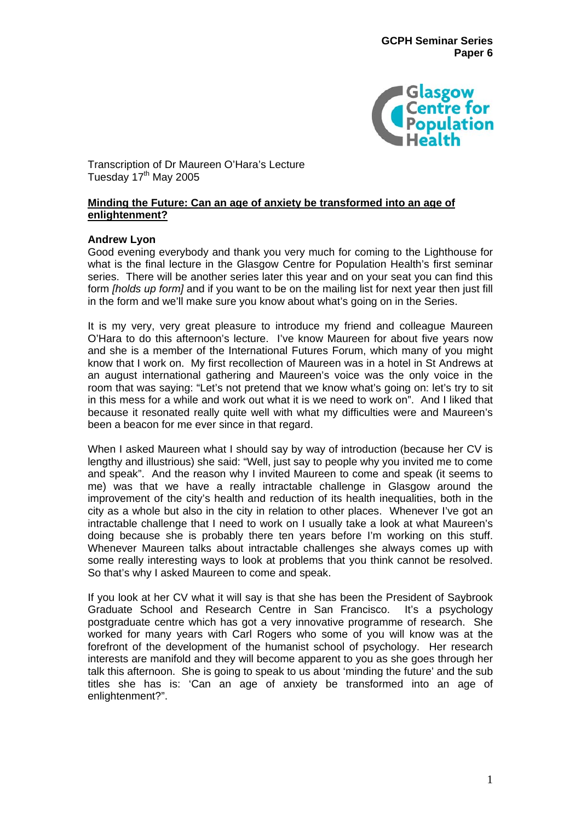

Transcription of Dr Maureen O'Hara's Lecture Tuesday 17<sup>th</sup> May 2005

# **Minding the Future: Can an age of anxiety be transformed into an age of enlightenment?**

# **Andrew Lyon**

Good evening everybody and thank you very much for coming to the Lighthouse for what is the final lecture in the Glasgow Centre for Population Health's first seminar series. There will be another series later this year and on your seat you can find this form *[holds up form]* and if you want to be on the mailing list for next year then just fill in the form and we'll make sure you know about what's going on in the Series.

It is my very, very great pleasure to introduce my friend and colleague Maureen O'Hara to do this afternoon's lecture. I've know Maureen for about five years now and she is a member of the International Futures Forum, which many of you might know that I work on. My first recollection of Maureen was in a hotel in St Andrews at an august international gathering and Maureen's voice was the only voice in the room that was saying: "Let's not pretend that we know what's going on: let's try to sit in this mess for a while and work out what it is we need to work on". And I liked that because it resonated really quite well with what my difficulties were and Maureen's been a beacon for me ever since in that regard.

When I asked Maureen what I should say by way of introduction (because her CV is lengthy and illustrious) she said: "Well, just say to people why you invited me to come and speak". And the reason why I invited Maureen to come and speak (it seems to me) was that we have a really intractable challenge in Glasgow around the improvement of the city's health and reduction of its health inequalities, both in the city as a whole but also in the city in relation to other places. Whenever I've got an intractable challenge that I need to work on I usually take a look at what Maureen's doing because she is probably there ten years before I'm working on this stuff. Whenever Maureen talks about intractable challenges she always comes up with some really interesting ways to look at problems that you think cannot be resolved. So that's why I asked Maureen to come and speak.

If you look at her CV what it will say is that she has been the President of Saybrook Graduate School and Research Centre in San Francisco. It's a psychology postgraduate centre which has got a very innovative programme of research. She worked for many years with Carl Rogers who some of you will know was at the forefront of the development of the humanist school of psychology. Her research interests are manifold and they will become apparent to you as she goes through her talk this afternoon. She is going to speak to us about 'minding the future' and the sub titles she has is: 'Can an age of anxiety be transformed into an age of enlightenment?".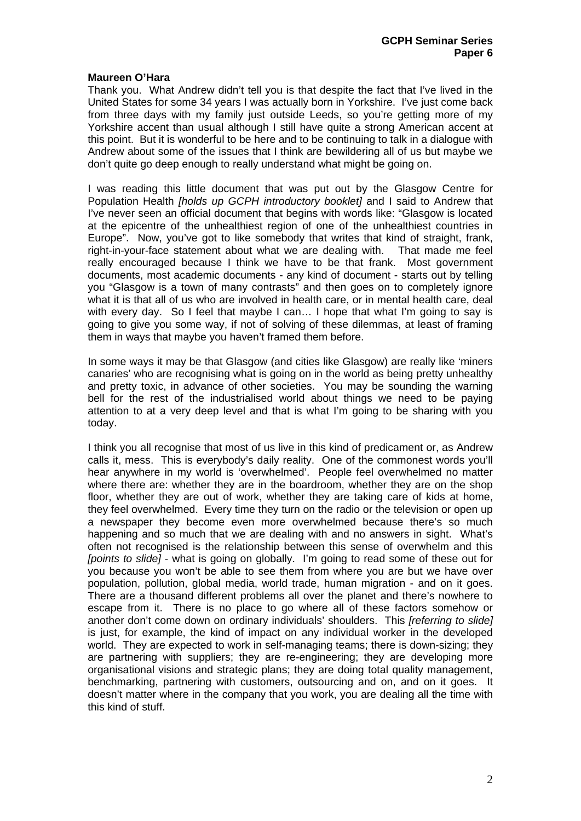### **Maureen O'Hara**

Thank you. What Andrew didn't tell you is that despite the fact that I've lived in the United States for some 34 years I was actually born in Yorkshire. I've just come back from three days with my family just outside Leeds, so you're getting more of my Yorkshire accent than usual although I still have quite a strong American accent at this point. But it is wonderful to be here and to be continuing to talk in a dialogue with Andrew about some of the issues that I think are bewildering all of us but maybe we don't quite go deep enough to really understand what might be going on.

I was reading this little document that was put out by the Glasgow Centre for Population Health *[holds up GCPH introductory booklet]* and I said to Andrew that I've never seen an official document that begins with words like: "Glasgow is located at the epicentre of the unhealthiest region of one of the unhealthiest countries in Europe". Now, you've got to like somebody that writes that kind of straight, frank, right-in-your-face statement about what we are dealing with. That made me feel really encouraged because I think we have to be that frank. Most government documents, most academic documents - any kind of document - starts out by telling you "Glasgow is a town of many contrasts" and then goes on to completely ignore what it is that all of us who are involved in health care, or in mental health care, deal with every day. So I feel that maybe I can… I hope that what I'm going to say is going to give you some way, if not of solving of these dilemmas, at least of framing them in ways that maybe you haven't framed them before.

In some ways it may be that Glasgow (and cities like Glasgow) are really like 'miners canaries' who are recognising what is going on in the world as being pretty unhealthy and pretty toxic, in advance of other societies. You may be sounding the warning bell for the rest of the industrialised world about things we need to be paying attention to at a very deep level and that is what I'm going to be sharing with you today.

I think you all recognise that most of us live in this kind of predicament or, as Andrew calls it, mess. This is everybody's daily reality. One of the commonest words you'll hear anywhere in my world is 'overwhelmed'. People feel overwhelmed no matter where there are: whether they are in the boardroom, whether they are on the shop floor, whether they are out of work, whether they are taking care of kids at home, they feel overwhelmed. Every time they turn on the radio or the television or open up a newspaper they become even more overwhelmed because there's so much happening and so much that we are dealing with and no answers in sight. What's often not recognised is the relationship between this sense of overwhelm and this *[points to slide]* - what is going on globally. I'm going to read some of these out for you because you won't be able to see them from where you are but we have over population, pollution, global media, world trade, human migration - and on it goes. There are a thousand different problems all over the planet and there's nowhere to escape from it. There is no place to go where all of these factors somehow or another don't come down on ordinary individuals' shoulders. This *[referring to slide]* is just, for example, the kind of impact on any individual worker in the developed world. They are expected to work in self-managing teams; there is down-sizing; they are partnering with suppliers; they are re-engineering; they are developing more organisational visions and strategic plans; they are doing total quality management, benchmarking, partnering with customers, outsourcing and on, and on it goes. It doesn't matter where in the company that you work, you are dealing all the time with this kind of stuff.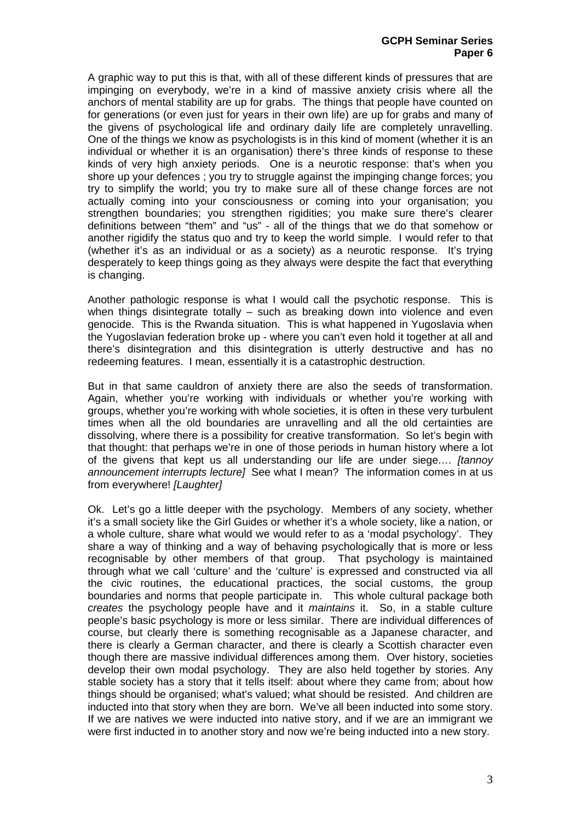A graphic way to put this is that, with all of these different kinds of pressures that are impinging on everybody, we're in a kind of massive anxiety crisis where all the anchors of mental stability are up for grabs. The things that people have counted on for generations (or even just for years in their own life) are up for grabs and many of the givens of psychological life and ordinary daily life are completely unravelling. One of the things we know as psychologists is in this kind of moment (whether it is an individual or whether it is an organisation) there's three kinds of response to these kinds of very high anxiety periods. One is a neurotic response: that's when you shore up your defences ; you try to struggle against the impinging change forces; you try to simplify the world; you try to make sure all of these change forces are not actually coming into your consciousness or coming into your organisation; you strengthen boundaries; you strengthen rigidities; you make sure there's clearer definitions between "them" and "us" - all of the things that we do that somehow or another rigidify the status quo and try to keep the world simple. I would refer to that (whether it's as an individual or as a society) as a neurotic response. It's trying desperately to keep things going as they always were despite the fact that everything is changing.

Another pathologic response is what I would call the psychotic response. This is when things disintegrate totally – such as breaking down into violence and even genocide. This is the Rwanda situation. This is what happened in Yugoslavia when the Yugoslavian federation broke up - where you can't even hold it together at all and there's disintegration and this disintegration is utterly destructive and has no redeeming features. I mean, essentially it is a catastrophic destruction.

But in that same cauldron of anxiety there are also the seeds of transformation. Again, whether you're working with individuals or whether you're working with groups, whether you're working with whole societies, it is often in these very turbulent times when all the old boundaries are unravelling and all the old certainties are dissolving, where there is a possibility for creative transformation. So let's begin with that thought: that perhaps we're in one of those periods in human history where a lot of the givens that kept us all understanding our life are under siege.… *[tannoy announcement interrupts lecture]* See what I mean? The information comes in at us from everywhere! *[Laughter]* 

Ok. Let's go a little deeper with the psychology. Members of any society, whether it's a small society like the Girl Guides or whether it's a whole society, like a nation, or a whole culture, share what would we would refer to as a 'modal psychology'. They share a way of thinking and a way of behaving psychologically that is more or less recognisable by other members of that group. That psychology is maintained through what we call 'culture' and the 'culture' is expressed and constructed via all the civic routines, the educational practices, the social customs, the group boundaries and norms that people participate in. This whole cultural package both *creates* the psychology people have and it *maintains* it. So, in a stable culture people's basic psychology is more or less similar. There are individual differences of course, but clearly there is something recognisable as a Japanese character, and there is clearly a German character, and there is clearly a Scottish character even though there are massive individual differences among them. Over history, societies develop their own modal psychology. They are also held together by stories. Any stable society has a story that it tells itself: about where they came from; about how things should be organised; what's valued; what should be resisted. And children are inducted into that story when they are born. We've all been inducted into some story. If we are natives we were inducted into native story, and if we are an immigrant we were first inducted in to another story and now we're being inducted into a new story.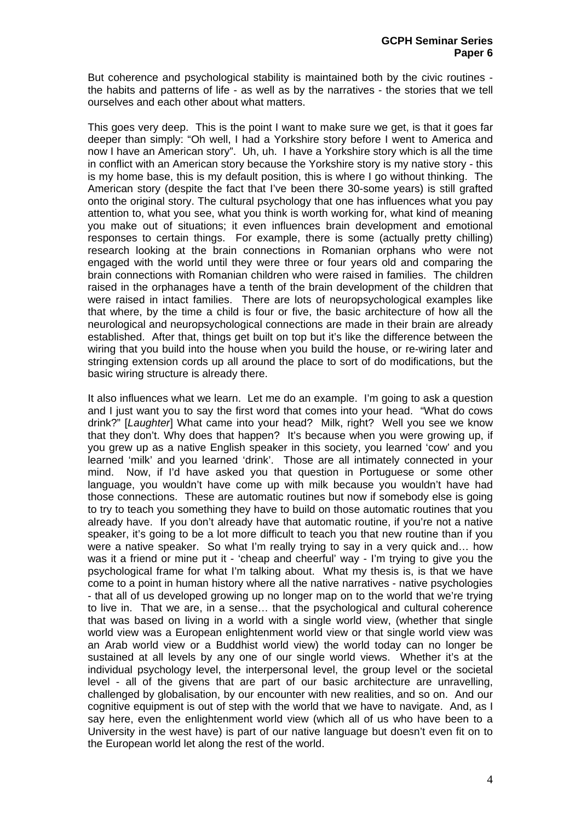But coherence and psychological stability is maintained both by the civic routines the habits and patterns of life - as well as by the narratives - the stories that we tell ourselves and each other about what matters.

This goes very deep. This is the point I want to make sure we get, is that it goes far deeper than simply: "Oh well, I had a Yorkshire story before I went to America and now I have an American story". Uh, uh. I have a Yorkshire story which is all the time in conflict with an American story because the Yorkshire story is my native story - this is my home base, this is my default position, this is where I go without thinking. The American story (despite the fact that I've been there 30-some years) is still grafted onto the original story. The cultural psychology that one has influences what you pay attention to, what you see, what you think is worth working for, what kind of meaning you make out of situations; it even influences brain development and emotional responses to certain things. For example, there is some (actually pretty chilling) research looking at the brain connections in Romanian orphans who were not engaged with the world until they were three or four years old and comparing the brain connections with Romanian children who were raised in families. The children raised in the orphanages have a tenth of the brain development of the children that were raised in intact families. There are lots of neuropsychological examples like that where, by the time a child is four or five, the basic architecture of how all the neurological and neuropsychological connections are made in their brain are already established. After that, things get built on top but it's like the difference between the wiring that you build into the house when you build the house, or re-wiring later and stringing extension cords up all around the place to sort of do modifications, but the basic wiring structure is already there.

It also influences what we learn. Let me do an example. I'm going to ask a question and I just want you to say the first word that comes into your head. "What do cows drink?" [*Laughter*] What came into your head? Milk, right? Well you see we know that they don't. Why does that happen? It's because when you were growing up, if you grew up as a native English speaker in this society, you learned 'cow' and you learned 'milk' and you learned 'drink'. Those are all intimately connected in your mind. Now, if I'd have asked you that question in Portuguese or some other language, you wouldn't have come up with milk because you wouldn't have had those connections. These are automatic routines but now if somebody else is going to try to teach you something they have to build on those automatic routines that you already have. If you don't already have that automatic routine, if you're not a native speaker, it's going to be a lot more difficult to teach you that new routine than if you were a native speaker. So what I'm really trying to say in a very quick and… how was it a friend or mine put it - 'cheap and cheerful' way - I'm trying to give you the psychological frame for what I'm talking about. What my thesis is, is that we have come to a point in human history where all the native narratives - native psychologies - that all of us developed growing up no longer map on to the world that we're trying to live in. That we are, in a sense… that the psychological and cultural coherence that was based on living in a world with a single world view, (whether that single world view was a European enlightenment world view or that single world view was an Arab world view or a Buddhist world view) the world today can no longer be sustained at all levels by any one of our single world views. Whether it's at the individual psychology level, the interpersonal level, the group level or the societal level - all of the givens that are part of our basic architecture are unravelling, challenged by globalisation, by our encounter with new realities, and so on. And our cognitive equipment is out of step with the world that we have to navigate. And, as I say here, even the enlightenment world view (which all of us who have been to a University in the west have) is part of our native language but doesn't even fit on to the European world let along the rest of the world.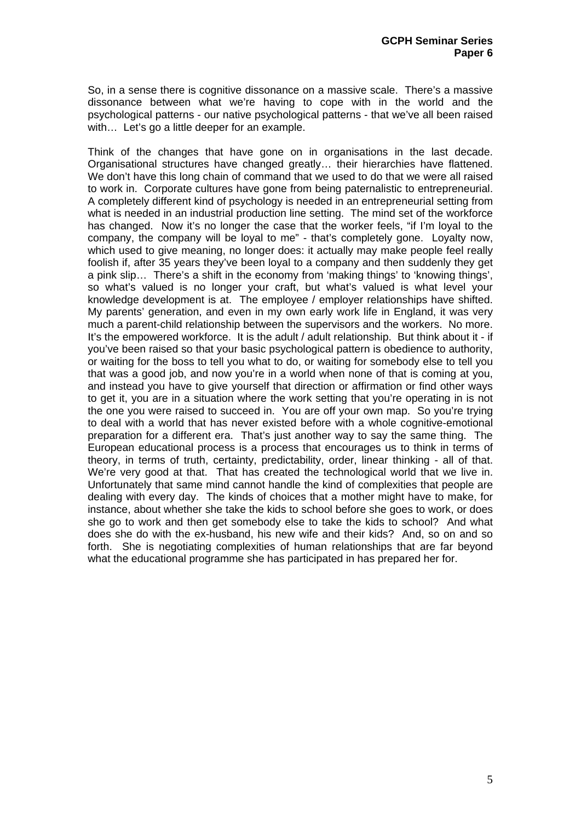So, in a sense there is cognitive dissonance on a massive scale. There's a massive dissonance between what we're having to cope with in the world and the psychological patterns - our native psychological patterns - that we've all been raised with... Let's go a little deeper for an example.

Think of the changes that have gone on in organisations in the last decade. Organisational structures have changed greatly… their hierarchies have flattened. We don't have this long chain of command that we used to do that we were all raised to work in. Corporate cultures have gone from being paternalistic to entrepreneurial. A completely different kind of psychology is needed in an entrepreneurial setting from what is needed in an industrial production line setting. The mind set of the workforce has changed. Now it's no longer the case that the worker feels, "if I'm loyal to the company, the company will be loyal to me" - that's completely gone. Loyalty now, which used to give meaning, no longer does: it actually may make people feel really foolish if, after 35 years they've been loyal to a company and then suddenly they get a pink slip… There's a shift in the economy from 'making things' to 'knowing things', so what's valued is no longer your craft, but what's valued is what level your knowledge development is at. The employee / employer relationships have shifted. My parents' generation, and even in my own early work life in England, it was very much a parent-child relationship between the supervisors and the workers. No more. It's the empowered workforce. It is the adult / adult relationship. But think about it - if you've been raised so that your basic psychological pattern is obedience to authority, or waiting for the boss to tell you what to do, or waiting for somebody else to tell you that was a good job, and now you're in a world when none of that is coming at you, and instead you have to give yourself that direction or affirmation or find other ways to get it, you are in a situation where the work setting that you're operating in is not the one you were raised to succeed in. You are off your own map. So you're trying to deal with a world that has never existed before with a whole cognitive-emotional preparation for a different era. That's just another way to say the same thing. The European educational process is a process that encourages us to think in terms of theory, in terms of truth, certainty, predictability, order, linear thinking - all of that. We're very good at that. That has created the technological world that we live in. Unfortunately that same mind cannot handle the kind of complexities that people are dealing with every day. The kinds of choices that a mother might have to make, for instance, about whether she take the kids to school before she goes to work, or does she go to work and then get somebody else to take the kids to school? And what does she do with the ex-husband, his new wife and their kids? And, so on and so forth. She is negotiating complexities of human relationships that are far beyond what the educational programme she has participated in has prepared her for.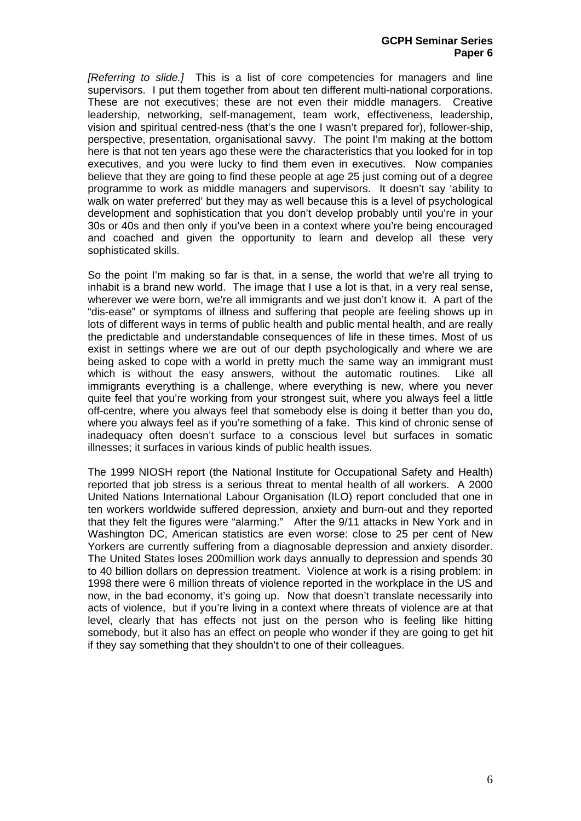*[Referring to slide.]* This is a list of core competencies for managers and line supervisors. I put them together from about ten different multi-national corporations. These are not executives; these are not even their middle managers. Creative leadership, networking, self-management, team work, effectiveness, leadership, vision and spiritual centred-ness (that's the one I wasn't prepared for), follower-ship, perspective, presentation, organisational savvy. The point I'm making at the bottom here is that not ten years ago these were the characteristics that you looked for in top executives, and you were lucky to find them even in executives. Now companies believe that they are going to find these people at age 25 just coming out of a degree programme to work as middle managers and supervisors. It doesn't say 'ability to walk on water preferred' but they may as well because this is a level of psychological development and sophistication that you don't develop probably until you're in your 30s or 40s and then only if you've been in a context where you're being encouraged and coached and given the opportunity to learn and develop all these very sophisticated skills.

So the point I'm making so far is that, in a sense, the world that we're all trying to inhabit is a brand new world. The image that I use a lot is that, in a very real sense, wherever we were born, we're all immigrants and we just don't know it. A part of the "dis-ease" or symptoms of illness and suffering that people are feeling shows up in lots of different ways in terms of public health and public mental health, and are really the predictable and understandable consequences of life in these times. Most of us exist in settings where we are out of our depth psychologically and where we are being asked to cope with a world in pretty much the same way an immigrant must which is without the easy answers, without the automatic routines. Like all immigrants everything is a challenge, where everything is new, where you never quite feel that you're working from your strongest suit, where you always feel a little off-centre, where you always feel that somebody else is doing it better than you do, where you always feel as if you're something of a fake. This kind of chronic sense of inadequacy often doesn't surface to a conscious level but surfaces in somatic illnesses; it surfaces in various kinds of public health issues.

The 1999 NIOSH report (the National Institute for Occupational Safety and Health) reported that job stress is a serious threat to mental health of all workers. A 2000 United Nations International Labour Organisation (ILO) report concluded that one in ten workers worldwide suffered depression, anxiety and burn-out and they reported that they felt the figures were "alarming." After the 9/11 attacks in New York and in Washington DC, American statistics are even worse: close to 25 per cent of New Yorkers are currently suffering from a diagnosable depression and anxiety disorder. The United States loses 200million work days annually to depression and spends 30 to 40 billion dollars on depression treatment. Violence at work is a rising problem: in 1998 there were 6 million threats of violence reported in the workplace in the US and now, in the bad economy, it's going up. Now that doesn't translate necessarily into acts of violence, but if you're living in a context where threats of violence are at that level, clearly that has effects not just on the person who is feeling like hitting somebody, but it also has an effect on people who wonder if they are going to get hit if they say something that they shouldn't to one of their colleagues.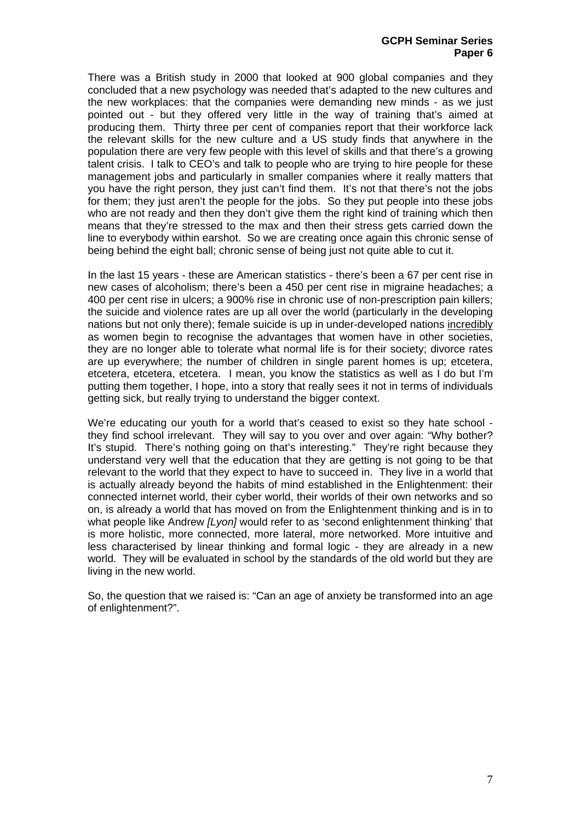There was a British study in 2000 that looked at 900 global companies and they concluded that a new psychology was needed that's adapted to the new cultures and the new workplaces: that the companies were demanding new minds - as we just pointed out - but they offered very little in the way of training that's aimed at producing them. Thirty three per cent of companies report that their workforce lack the relevant skills for the new culture and a US study finds that anywhere in the population there are very few people with this level of skills and that there's a growing talent crisis. I talk to CEO's and talk to people who are trying to hire people for these management jobs and particularly in smaller companies where it really matters that you have the right person, they just can't find them. It's not that there's not the jobs for them; they just aren't the people for the jobs. So they put people into these jobs who are not ready and then they don't give them the right kind of training which then means that they're stressed to the max and then their stress gets carried down the line to everybody within earshot. So we are creating once again this chronic sense of being behind the eight ball; chronic sense of being just not quite able to cut it.

In the last 15 years - these are American statistics - there's been a 67 per cent rise in new cases of alcoholism; there's been a 450 per cent rise in migraine headaches; a 400 per cent rise in ulcers; a 900% rise in chronic use of non-prescription pain killers; the suicide and violence rates are up all over the world (particularly in the developing nations but not only there); female suicide is up in under-developed nations incredibly as women begin to recognise the advantages that women have in other societies, they are no longer able to tolerate what normal life is for their society; divorce rates are up everywhere; the number of children in single parent homes is up; etcetera, etcetera, etcetera, etcetera. I mean, you know the statistics as well as I do but I'm putting them together, I hope, into a story that really sees it not in terms of individuals getting sick, but really trying to understand the bigger context.

We're educating our youth for a world that's ceased to exist so they hate school they find school irrelevant. They will say to you over and over again: "Why bother? It's stupid. There's nothing going on that's interesting." They're right because they understand very well that the education that they are getting is not going to be that relevant to the world that they expect to have to succeed in. They live in a world that is actually already beyond the habits of mind established in the Enlightenment: their connected internet world, their cyber world, their worlds of their own networks and so on, is already a world that has moved on from the Enlightenment thinking and is in to what people like Andrew *[Lyon]* would refer to as 'second enlightenment thinking' that is more holistic, more connected, more lateral, more networked. More intuitive and less characterised by linear thinking and formal logic - they are already in a new world. They will be evaluated in school by the standards of the old world but they are living in the new world.

So, the question that we raised is: "Can an age of anxiety be transformed into an age of enlightenment?".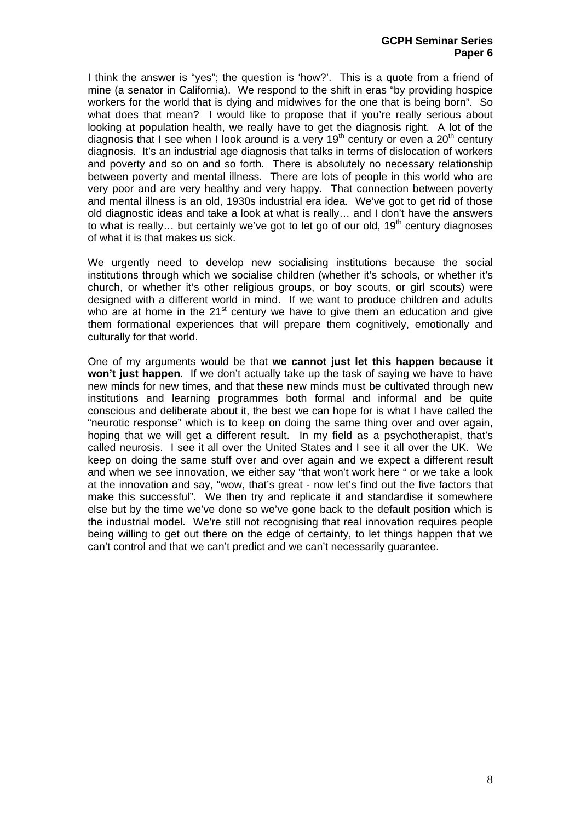I think the answer is "yes"; the question is 'how?'. This is a quote from a friend of mine (a senator in California). We respond to the shift in eras "by providing hospice workers for the world that is dying and midwives for the one that is being born". So what does that mean? I would like to propose that if you're really serious about looking at population health, we really have to get the diagnosis right. A lot of the diagnosis that I see when I look around is a very  $19<sup>th</sup>$  century or even a  $20<sup>th</sup>$  century diagnosis. It's an industrial age diagnosis that talks in terms of dislocation of workers and poverty and so on and so forth. There is absolutely no necessary relationship between poverty and mental illness. There are lots of people in this world who are very poor and are very healthy and very happy. That connection between poverty and mental illness is an old, 1930s industrial era idea. We've got to get rid of those old diagnostic ideas and take a look at what is really… and I don't have the answers to what is really... but certainly we've got to let go of our old,  $19<sup>th</sup>$  century diagnoses of what it is that makes us sick.

We urgently need to develop new socialising institutions because the social institutions through which we socialise children (whether it's schools, or whether it's church, or whether it's other religious groups, or boy scouts, or girl scouts) were designed with a different world in mind. If we want to produce children and adults who are at home in the  $21<sup>st</sup>$  century we have to give them an education and give them formational experiences that will prepare them cognitively, emotionally and culturally for that world.

One of my arguments would be that **we cannot just let this happen because it won't just happen**. If we don't actually take up the task of saying we have to have new minds for new times, and that these new minds must be cultivated through new institutions and learning programmes both formal and informal and be quite conscious and deliberate about it, the best we can hope for is what I have called the "neurotic response" which is to keep on doing the same thing over and over again, hoping that we will get a different result. In my field as a psychotherapist, that's called neurosis. I see it all over the United States and I see it all over the UK. We keep on doing the same stuff over and over again and we expect a different result and when we see innovation, we either say "that won't work here " or we take a look at the innovation and say, "wow, that's great - now let's find out the five factors that make this successful". We then try and replicate it and standardise it somewhere else but by the time we've done so we've gone back to the default position which is the industrial model. We're still not recognising that real innovation requires people being willing to get out there on the edge of certainty, to let things happen that we can't control and that we can't predict and we can't necessarily guarantee.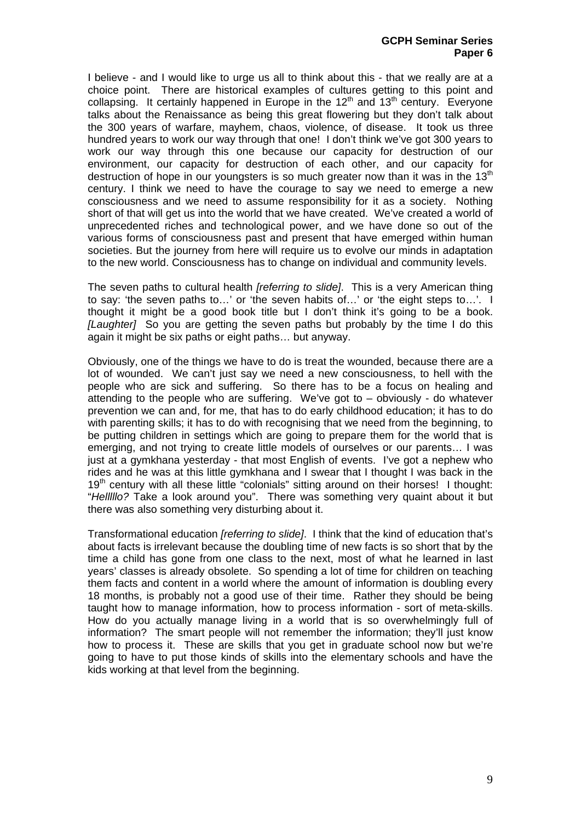I believe - and I would like to urge us all to think about this - that we really are at a choice point. There are historical examples of cultures getting to this point and collapsing. It certainly happened in Europe in the  $12<sup>th</sup>$  and  $13<sup>th</sup>$  century. Everyone talks about the Renaissance as being this great flowering but they don't talk about the 300 years of warfare, mayhem, chaos, violence, of disease. It took us three hundred years to work our way through that one! I don't think we've got 300 years to work our way through this one because our capacity for destruction of our environment, our capacity for destruction of each other, and our capacity for destruction of hope in our voungsters is so much greater now than it was in the  $13<sup>th</sup>$ century. I think we need to have the courage to say we need to emerge a new consciousness and we need to assume responsibility for it as a society. Nothing short of that will get us into the world that we have created. We've created a world of unprecedented riches and technological power, and we have done so out of the various forms of consciousness past and present that have emerged within human societies. But the journey from here will require us to evolve our minds in adaptation to the new world. Consciousness has to change on individual and community levels.

The seven paths to cultural health *[referring to slide]*. This is a very American thing to say: 'the seven paths to…' or 'the seven habits of…' or 'the eight steps to…'. I thought it might be a good book title but I don't think it's going to be a book. *[Laughter]* So you are getting the seven paths but probably by the time I do this again it might be six paths or eight paths… but anyway.

Obviously, one of the things we have to do is treat the wounded, because there are a lot of wounded. We can't just say we need a new consciousness, to hell with the people who are sick and suffering. So there has to be a focus on healing and attending to the people who are suffering. We've got to – obviously - do whatever prevention we can and, for me, that has to do early childhood education; it has to do with parenting skills; it has to do with recognising that we need from the beginning, to be putting children in settings which are going to prepare them for the world that is emerging, and not trying to create little models of ourselves or our parents… I was just at a gymkhana yesterday - that most English of events. I've got a nephew who rides and he was at this little gymkhana and I swear that I thought I was back in the 19<sup>th</sup> century with all these little "colonials" sitting around on their horses! I thought: "*Helllllo?* Take a look around you". There was something very quaint about it but there was also something very disturbing about it.

Transformational education *[referring to slide]*. I think that the kind of education that's about facts is irrelevant because the doubling time of new facts is so short that by the time a child has gone from one class to the next, most of what he learned in last years' classes is already obsolete. So spending a lot of time for children on teaching them facts and content in a world where the amount of information is doubling every 18 months, is probably not a good use of their time. Rather they should be being taught how to manage information, how to process information - sort of meta-skills. How do you actually manage living in a world that is so overwhelmingly full of information? The smart people will not remember the information; they'll just know how to process it. These are skills that you get in graduate school now but we're going to have to put those kinds of skills into the elementary schools and have the kids working at that level from the beginning.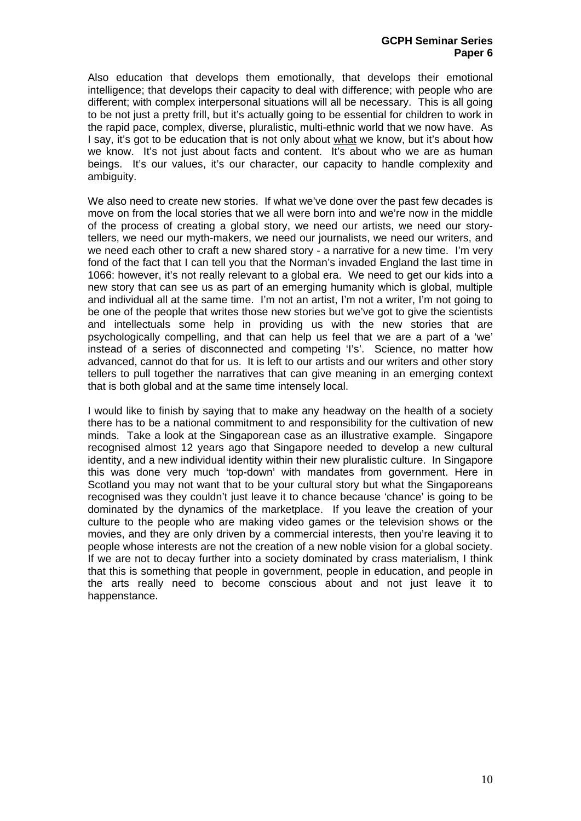Also education that develops them emotionally, that develops their emotional intelligence; that develops their capacity to deal with difference; with people who are different; with complex interpersonal situations will all be necessary. This is all going to be not just a pretty frill, but it's actually going to be essential for children to work in the rapid pace, complex, diverse, pluralistic, multi-ethnic world that we now have. As I say, it's got to be education that is not only about what we know, but it's about how we know. It's not just about facts and content. It's about who we are as human beings. It's our values, it's our character, our capacity to handle complexity and ambiguity.

We also need to create new stories. If what we've done over the past few decades is move on from the local stories that we all were born into and we're now in the middle of the process of creating a global story, we need our artists, we need our storytellers, we need our myth-makers, we need our journalists, we need our writers, and we need each other to craft a new shared story - a narrative for a new time. I'm very fond of the fact that I can tell you that the Norman's invaded England the last time in 1066: however, it's not really relevant to a global era. We need to get our kids into a new story that can see us as part of an emerging humanity which is global, multiple and individual all at the same time. I'm not an artist, I'm not a writer, I'm not going to be one of the people that writes those new stories but we've got to give the scientists and intellectuals some help in providing us with the new stories that are psychologically compelling, and that can help us feel that we are a part of a 'we' instead of a series of disconnected and competing 'I's'. Science, no matter how advanced, cannot do that for us. It is left to our artists and our writers and other story tellers to pull together the narratives that can give meaning in an emerging context that is both global and at the same time intensely local.

I would like to finish by saying that to make any headway on the health of a society there has to be a national commitment to and responsibility for the cultivation of new minds. Take a look at the Singaporean case as an illustrative example. Singapore recognised almost 12 years ago that Singapore needed to develop a new cultural identity, and a new individual identity within their new pluralistic culture. In Singapore this was done very much 'top-down' with mandates from government. Here in Scotland you may not want that to be your cultural story but what the Singaporeans recognised was they couldn't just leave it to chance because 'chance' is going to be dominated by the dynamics of the marketplace. If you leave the creation of your culture to the people who are making video games or the television shows or the movies, and they are only driven by a commercial interests, then you're leaving it to people whose interests are not the creation of a new noble vision for a global society. If we are not to decay further into a society dominated by crass materialism, I think that this is something that people in government, people in education, and people in the arts really need to become conscious about and not just leave it to happenstance.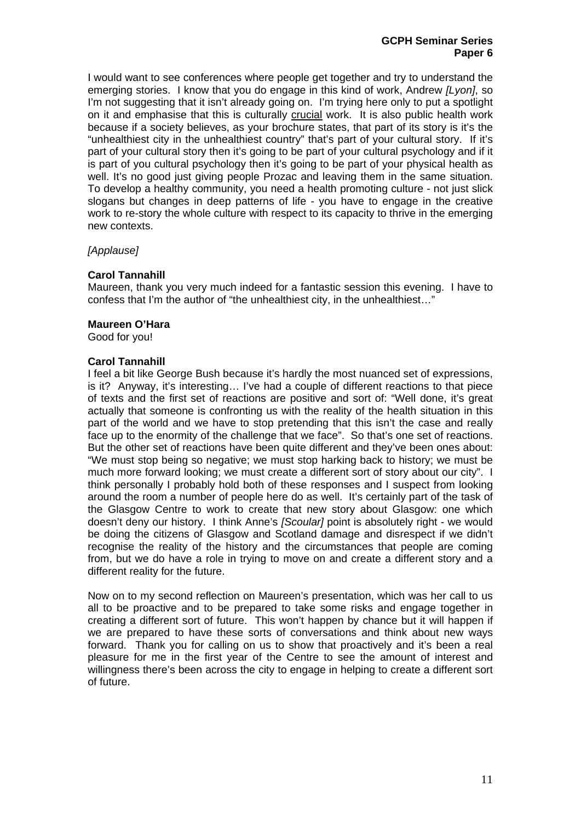I would want to see conferences where people get together and try to understand the emerging stories. I know that you do engage in this kind of work, Andrew *[Lyon]*, so I'm not suggesting that it isn't already going on. I'm trying here only to put a spotlight on it and emphasise that this is culturally crucial work. It is also public health work because if a society believes, as your brochure states, that part of its story is it's the "unhealthiest city in the unhealthiest country" that's part of your cultural story. If it's part of your cultural story then it's going to be part of your cultural psychology and if it is part of you cultural psychology then it's going to be part of your physical health as well. It's no good just giving people Prozac and leaving them in the same situation. To develop a healthy community, you need a health promoting culture - not just slick slogans but changes in deep patterns of life - you have to engage in the creative work to re-story the whole culture with respect to its capacity to thrive in the emerging new contexts.

# *[Applause]*

# **Carol Tannahill**

Maureen, thank you very much indeed for a fantastic session this evening. I have to confess that I'm the author of "the unhealthiest city, in the unhealthiest…"

#### **Maureen O'Hara**

Good for you!

### **Carol Tannahill**

I feel a bit like George Bush because it's hardly the most nuanced set of expressions, is it? Anyway, it's interesting… I've had a couple of different reactions to that piece of texts and the first set of reactions are positive and sort of: "Well done, it's great actually that someone is confronting us with the reality of the health situation in this part of the world and we have to stop pretending that this isn't the case and really face up to the enormity of the challenge that we face". So that's one set of reactions. But the other set of reactions have been quite different and they've been ones about: "We must stop being so negative; we must stop harking back to history; we must be much more forward looking; we must create a different sort of story about our city". I think personally I probably hold both of these responses and I suspect from looking around the room a number of people here do as well. It's certainly part of the task of the Glasgow Centre to work to create that new story about Glasgow: one which doesn't deny our history. I think Anne's *[Scoular]* point is absolutely right - we would be doing the citizens of Glasgow and Scotland damage and disrespect if we didn't recognise the reality of the history and the circumstances that people are coming from, but we do have a role in trying to move on and create a different story and a different reality for the future.

Now on to my second reflection on Maureen's presentation, which was her call to us all to be proactive and to be prepared to take some risks and engage together in creating a different sort of future. This won't happen by chance but it will happen if we are prepared to have these sorts of conversations and think about new ways forward. Thank you for calling on us to show that proactively and it's been a real pleasure for me in the first year of the Centre to see the amount of interest and willingness there's been across the city to engage in helping to create a different sort of future.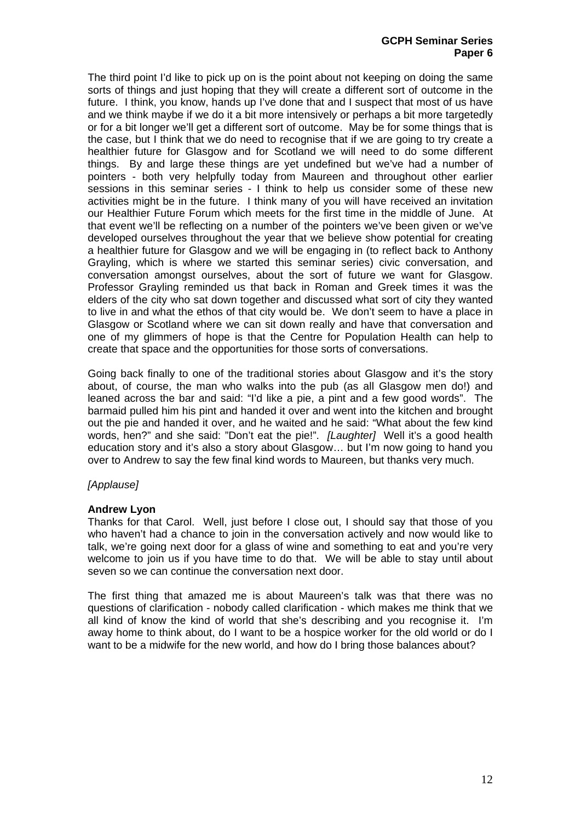### **GCPH Seminar Series Paper 6**

The third point I'd like to pick up on is the point about not keeping on doing the same sorts of things and just hoping that they will create a different sort of outcome in the future. I think, you know, hands up I've done that and I suspect that most of us have and we think maybe if we do it a bit more intensively or perhaps a bit more targetedly or for a bit longer we'll get a different sort of outcome. May be for some things that is the case, but I think that we do need to recognise that if we are going to try create a healthier future for Glasgow and for Scotland we will need to do some different things. By and large these things are yet undefined but we've had a number of pointers - both very helpfully today from Maureen and throughout other earlier sessions in this seminar series - I think to help us consider some of these new activities might be in the future. I think many of you will have received an invitation our Healthier Future Forum which meets for the first time in the middle of June. At that event we'll be reflecting on a number of the pointers we've been given or we've developed ourselves throughout the year that we believe show potential for creating a healthier future for Glasgow and we will be engaging in (to reflect back to Anthony Grayling, which is where we started this seminar series) civic conversation, and conversation amongst ourselves, about the sort of future we want for Glasgow. Professor Grayling reminded us that back in Roman and Greek times it was the elders of the city who sat down together and discussed what sort of city they wanted to live in and what the ethos of that city would be. We don't seem to have a place in Glasgow or Scotland where we can sit down really and have that conversation and one of my glimmers of hope is that the Centre for Population Health can help to create that space and the opportunities for those sorts of conversations.

Going back finally to one of the traditional stories about Glasgow and it's the story about, of course, the man who walks into the pub (as all Glasgow men do!) and leaned across the bar and said: "I'd like a pie, a pint and a few good words". The barmaid pulled him his pint and handed it over and went into the kitchen and brought out the pie and handed it over, and he waited and he said: "What about the few kind words, hen?" and she said: "Don't eat the pie!". *[Laughter]* Well it's a good health education story and it's also a story about Glasgow… but I'm now going to hand you over to Andrew to say the few final kind words to Maureen, but thanks very much.

# *[Applause]*

# **Andrew Lyon**

Thanks for that Carol. Well, just before I close out, I should say that those of you who haven't had a chance to join in the conversation actively and now would like to talk, we're going next door for a glass of wine and something to eat and you're very welcome to join us if you have time to do that. We will be able to stay until about seven so we can continue the conversation next door.

The first thing that amazed me is about Maureen's talk was that there was no questions of clarification - nobody called clarification - which makes me think that we all kind of know the kind of world that she's describing and you recognise it. I'm away home to think about, do I want to be a hospice worker for the old world or do I want to be a midwife for the new world, and how do I bring those balances about?